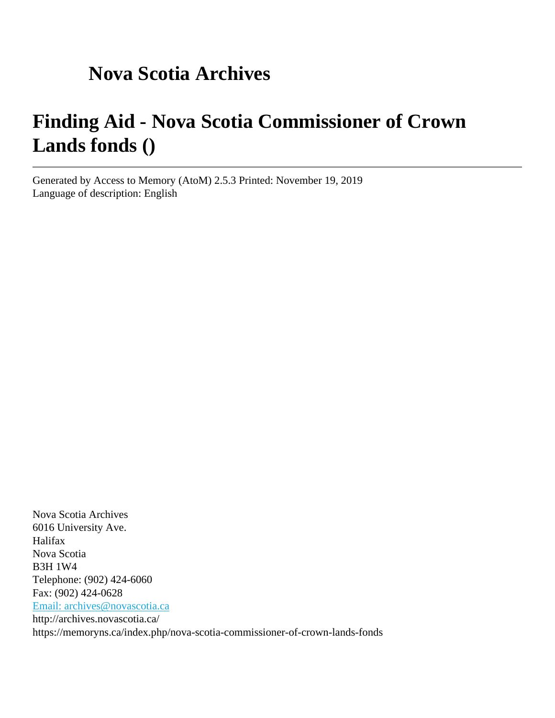# **Nova Scotia Archives**

# **Finding Aid - Nova Scotia Commissioner of Crown Lands fonds ()**

Generated by Access to Memory (AtoM) 2.5.3 Printed: November 19, 2019 Language of description: English

Nova Scotia Archives 6016 University Ave. Halifax Nova Scotia B3H 1W4 Telephone: (902) 424-6060 Fax: (902) 424-0628 [Email: archives@novascotia.ca](mailto:Email: archives@novascotia.ca) http://archives.novascotia.ca/ https://memoryns.ca/index.php/nova-scotia-commissioner-of-crown-lands-fonds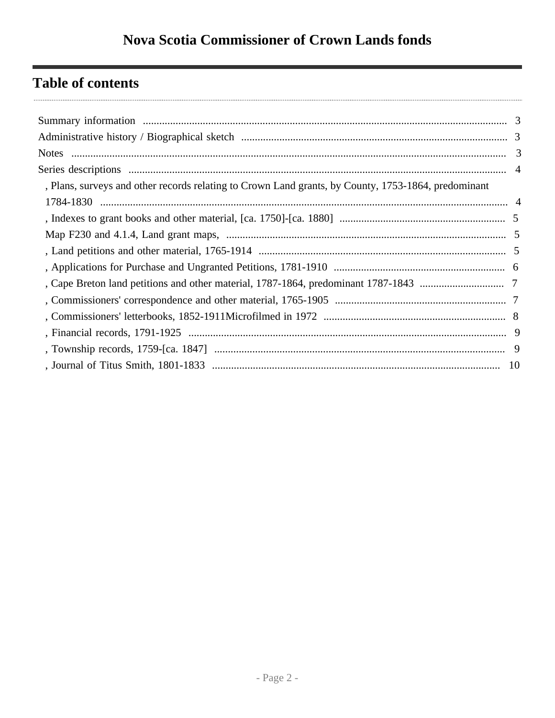# **Table of contents**

| , Plans, surveys and other records relating to Crown Land grants, by County, 1753-1864, predominant |  |
|-----------------------------------------------------------------------------------------------------|--|
|                                                                                                     |  |
|                                                                                                     |  |
|                                                                                                     |  |
|                                                                                                     |  |
|                                                                                                     |  |
|                                                                                                     |  |
|                                                                                                     |  |
|                                                                                                     |  |
|                                                                                                     |  |
|                                                                                                     |  |
|                                                                                                     |  |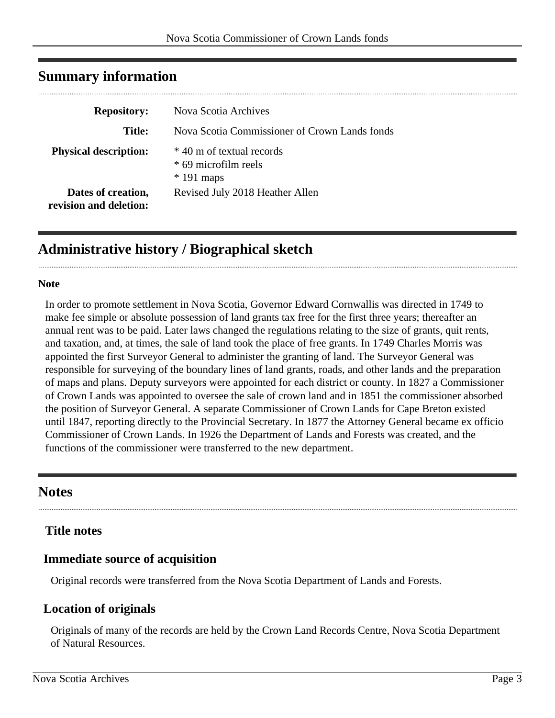| <b>Repository:</b>                           | Nova Scotia Archives                                             |
|----------------------------------------------|------------------------------------------------------------------|
| <b>Title:</b>                                | Nova Scotia Commissioner of Crown Lands fonds                    |
| <b>Physical description:</b>                 | * 40 m of textual records<br>* 69 microfilm reels<br>$*191$ maps |
| Dates of creation,<br>revision and deletion: | Revised July 2018 Heather Allen                                  |

# <span id="page-2-0"></span>**Summary information**

# <span id="page-2-1"></span>**Administrative history / Biographical sketch**

#### **Note**

In order to promote settlement in Nova Scotia, Governor Edward Cornwallis was directed in 1749 to make fee simple or absolute possession of land grants tax free for the first three years; thereafter an annual rent was to be paid. Later laws changed the regulations relating to the size of grants, quit rents, and taxation, and, at times, the sale of land took the place of free grants. In 1749 Charles Morris was appointed the first Surveyor General to administer the granting of land. The Surveyor General was responsible for surveying of the boundary lines of land grants, roads, and other lands and the preparation of maps and plans. Deputy surveyors were appointed for each district or county. In 1827 a Commissioner of Crown Lands was appointed to oversee the sale of crown land and in 1851 the commissioner absorbed the position of Surveyor General. A separate Commissioner of Crown Lands for Cape Breton existed until 1847, reporting directly to the Provincial Secretary. In 1877 the Attorney General became ex officio Commissioner of Crown Lands. In 1926 the Department of Lands and Forests was created, and the functions of the commissioner were transferred to the new department.

# <span id="page-2-2"></span>**Notes**

# **Title notes**

# **Immediate source of acquisition**

Original records were transferred from the Nova Scotia Department of Lands and Forests.

# **Location of originals**

Originals of many of the records are held by the Crown Land Records Centre, Nova Scotia Department of Natural Resources.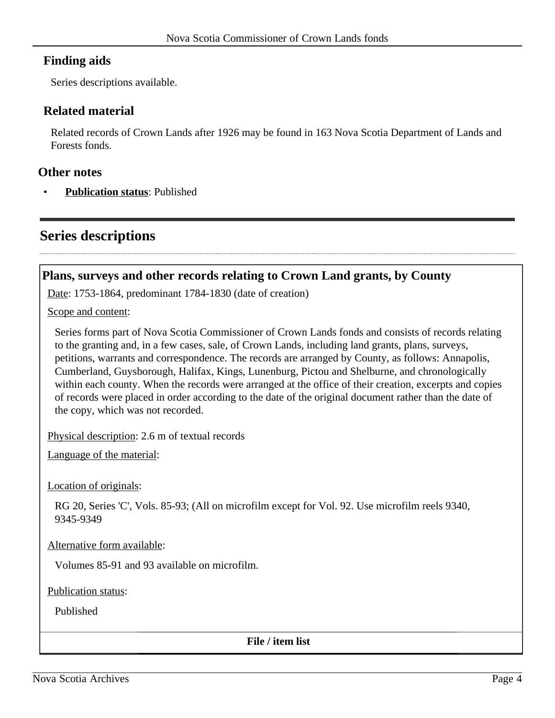# **Finding aids**

Series descriptions available.

# **Related material**

Related records of Crown Lands after 1926 may be found in 163 Nova Scotia Department of Lands and Forests fonds.

#### **Other notes**

• **Publication status**: Published

# <span id="page-3-0"></span>**Series descriptions**

# <span id="page-3-1"></span>**Plans, surveys and other records relating to Crown Land grants, by County**

Date: 1753-1864, predominant 1784-1830 (date of creation)

Scope and content:

Series forms part of Nova Scotia Commissioner of Crown Lands fonds and consists of records relating to the granting and, in a few cases, sale, of Crown Lands, including land grants, plans, surveys, petitions, warrants and correspondence. The records are arranged by County, as follows: Annapolis, Cumberland, Guysborough, Halifax, Kings, Lunenburg, Pictou and Shelburne, and chronologically within each county. When the records were arranged at the office of their creation, excerpts and copies of records were placed in order according to the date of the original document rather than the date of the copy, which was not recorded.

Physical description: 2.6 m of textual records

Language of the material:

Location of originals:

RG 20, Series 'C', Vols. 85-93; (All on microfilm except for Vol. 92. Use microfilm reels 9340, 9345-9349

Alternative form available:

Volumes 85-91 and 93 available on microfilm.

Publication status:

Published

**File / item list**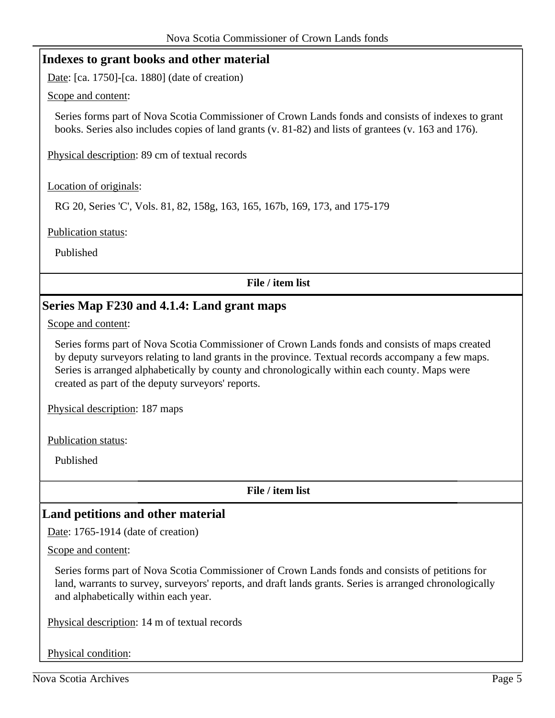# <span id="page-4-0"></span>**Indexes to grant books and other material**

Date: [ca. 1750]-[ca. 1880] (date of creation)

Scope and content:

Series forms part of Nova Scotia Commissioner of Crown Lands fonds and consists of indexes to grant books. Series also includes copies of land grants (v. 81-82) and lists of grantees (v. 163 and 176).

Physical description: 89 cm of textual records

Location of originals:

RG 20, Series 'C', Vols. 81, 82, 158g, 163, 165, 167b, 169, 173, and 175-179

Publication status:

Published

**File / item list**

# <span id="page-4-1"></span>**Series Map F230 and 4.1.4: Land grant maps**

Scope and content:

Series forms part of Nova Scotia Commissioner of Crown Lands fonds and consists of maps created by deputy surveyors relating to land grants in the province. Textual records accompany a few maps. Series is arranged alphabetically by county and chronologically within each county. Maps were created as part of the deputy surveyors' reports.

Physical description: 187 maps

Publication status:

Published

**File / item list**

# <span id="page-4-2"></span>**Land petitions and other material**

Date: 1765-1914 (date of creation)

Scope and content:

Series forms part of Nova Scotia Commissioner of Crown Lands fonds and consists of petitions for land, warrants to survey, surveyors' reports, and draft lands grants. Series is arranged chronologically and alphabetically within each year.

Physical description: 14 m of textual records

Physical condition: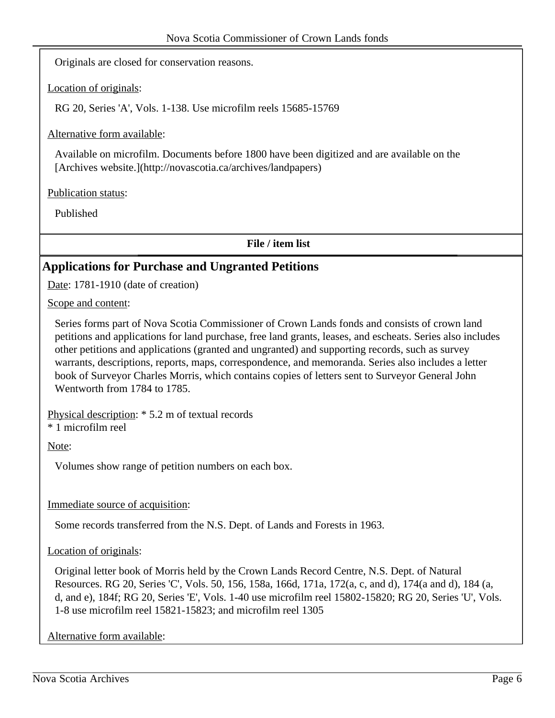Originals are closed for conservation reasons.

Location of originals:

RG 20, Series 'A', Vols. 1-138. Use microfilm reels 15685-15769

Alternative form available:

Available on microfilm. Documents before 1800 have been digitized and are available on the [Archives website.](http://novascotia.ca/archives/landpapers)

Publication status:

Published

**File / item list**

# <span id="page-5-0"></span>**Applications for Purchase and Ungranted Petitions**

Date: 1781-1910 (date of creation)

Scope and content:

Series forms part of Nova Scotia Commissioner of Crown Lands fonds and consists of crown land petitions and applications for land purchase, free land grants, leases, and escheats. Series also includes other petitions and applications (granted and ungranted) and supporting records, such as survey warrants, descriptions, reports, maps, correspondence, and memoranda. Series also includes a letter book of Surveyor Charles Morris, which contains copies of letters sent to Surveyor General John Wentworth from 1784 to 1785.

Physical description: \* 5.2 m of textual records

\* 1 microfilm reel

Note:

Volumes show range of petition numbers on each box.

Immediate source of acquisition:

Some records transferred from the N.S. Dept. of Lands and Forests in 1963.

Location of originals:

Original letter book of Morris held by the Crown Lands Record Centre, N.S. Dept. of Natural Resources. RG 20, Series 'C', Vols. 50, 156, 158a, 166d, 171a, 172(a, c, and d), 174(a and d), 184 (a, d, and e), 184f; RG 20, Series 'E', Vols. 1-40 use microfilm reel 15802-15820; RG 20, Series 'U', Vols. 1-8 use microfilm reel 15821-15823; and microfilm reel 1305

Alternative form available: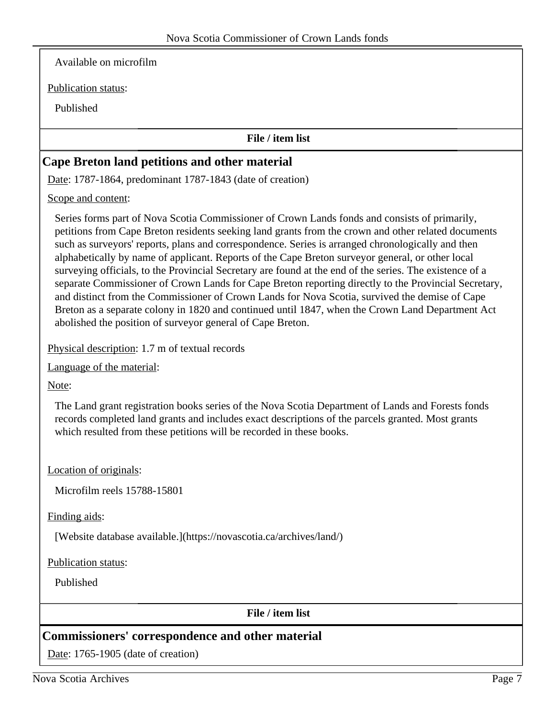Available on microfilm

Publication status:

Published

#### **File / item list**

# <span id="page-6-0"></span>**Cape Breton land petitions and other material**

Date: 1787-1864, predominant 1787-1843 (date of creation)

Scope and content:

Series forms part of Nova Scotia Commissioner of Crown Lands fonds and consists of primarily, petitions from Cape Breton residents seeking land grants from the crown and other related documents such as surveyors' reports, plans and correspondence. Series is arranged chronologically and then alphabetically by name of applicant. Reports of the Cape Breton surveyor general, or other local surveying officials, to the Provincial Secretary are found at the end of the series. The existence of a separate Commissioner of Crown Lands for Cape Breton reporting directly to the Provincial Secretary, and distinct from the Commissioner of Crown Lands for Nova Scotia, survived the demise of Cape Breton as a separate colony in 1820 and continued until 1847, when the Crown Land Department Act abolished the position of surveyor general of Cape Breton.

Physical description: 1.7 m of textual records

Language of the material:

Note:

The Land grant registration books series of the Nova Scotia Department of Lands and Forests fonds records completed land grants and includes exact descriptions of the parcels granted. Most grants which resulted from these petitions will be recorded in these books.

Location of originals:

Microfilm reels 15788-15801

Finding aids:

[Website database available.](https://novascotia.ca/archives/land/)

Publication status:

Published

#### **File / item list**

# <span id="page-6-1"></span>**Commissioners' correspondence and other material**

Date: 1765-1905 (date of creation)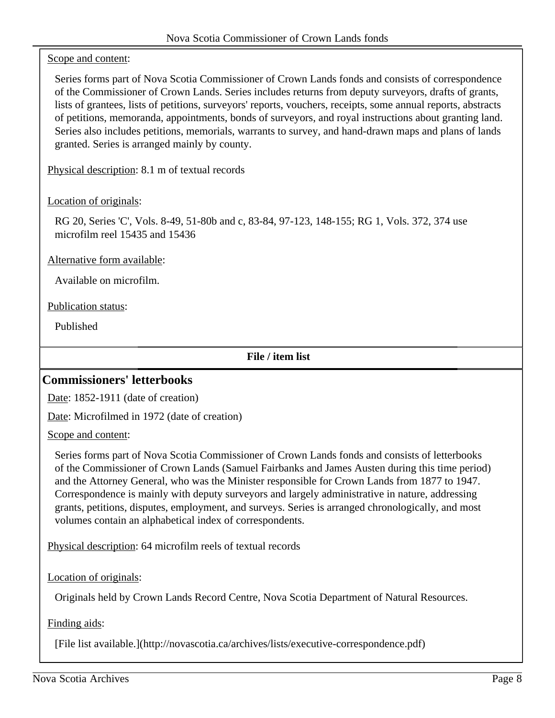#### Scope and content:

Series forms part of Nova Scotia Commissioner of Crown Lands fonds and consists of correspondence of the Commissioner of Crown Lands. Series includes returns from deputy surveyors, drafts of grants, lists of grantees, lists of petitions, surveyors' reports, vouchers, receipts, some annual reports, abstracts of petitions, memoranda, appointments, bonds of surveyors, and royal instructions about granting land. Series also includes petitions, memorials, warrants to survey, and hand-drawn maps and plans of lands granted. Series is arranged mainly by county.

Physical description: 8.1 m of textual records

#### Location of originals:

RG 20, Series 'C', Vols. 8-49, 51-80b and c, 83-84, 97-123, 148-155; RG 1, Vols. 372, 374 use microfilm reel 15435 and 15436

Alternative form available:

Available on microfilm.

Publication status:

Published

**File / item list**

# <span id="page-7-0"></span>**Commissioners' letterbooks**

Date: 1852-1911 (date of creation)

Date: Microfilmed in 1972 (date of creation)

Scope and content:

Series forms part of Nova Scotia Commissioner of Crown Lands fonds and consists of letterbooks of the Commissioner of Crown Lands (Samuel Fairbanks and James Austen during this time period) and the Attorney General, who was the Minister responsible for Crown Lands from 1877 to 1947. Correspondence is mainly with deputy surveyors and largely administrative in nature, addressing grants, petitions, disputes, employment, and surveys. Series is arranged chronologically, and most volumes contain an alphabetical index of correspondents.

Physical description: 64 microfilm reels of textual records

Location of originals:

Originals held by Crown Lands Record Centre, Nova Scotia Department of Natural Resources.

Finding aids:

[File list available.](http://novascotia.ca/archives/lists/executive-correspondence.pdf)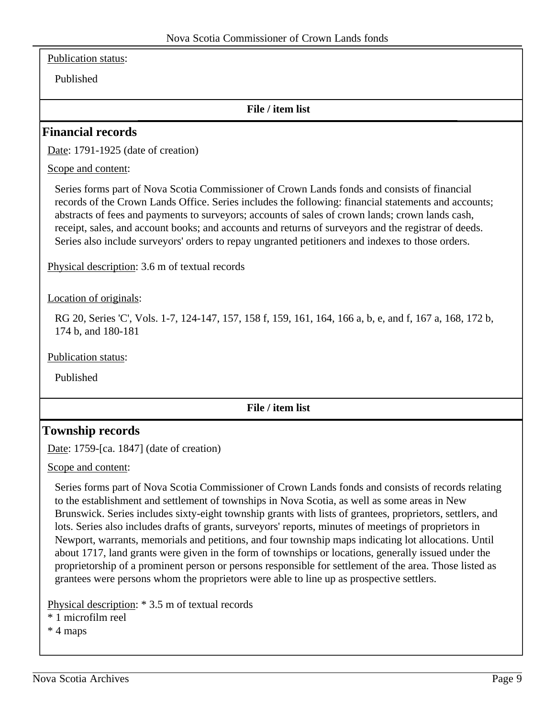Publication status:

Published

#### **File / item list**

#### <span id="page-8-0"></span>**Financial records**

Date: 1791-1925 (date of creation)

Scope and content:

Series forms part of Nova Scotia Commissioner of Crown Lands fonds and consists of financial records of the Crown Lands Office. Series includes the following: financial statements and accounts; abstracts of fees and payments to surveyors; accounts of sales of crown lands; crown lands cash, receipt, sales, and account books; and accounts and returns of surveyors and the registrar of deeds. Series also include surveyors' orders to repay ungranted petitioners and indexes to those orders.

Physical description: 3.6 m of textual records

Location of originals:

RG 20, Series 'C', Vols. 1-7, 124-147, 157, 158 f, 159, 161, 164, 166 a, b, e, and f, 167 a, 168, 172 b, 174 b, and 180-181

Publication status:

Published

#### **File / item list**

#### <span id="page-8-1"></span>**Township records**

Date: 1759-[ca. 1847] (date of creation)

Scope and content:

Series forms part of Nova Scotia Commissioner of Crown Lands fonds and consists of records relating to the establishment and settlement of townships in Nova Scotia, as well as some areas in New Brunswick. Series includes sixty-eight township grants with lists of grantees, proprietors, settlers, and lots. Series also includes drafts of grants, surveyors' reports, minutes of meetings of proprietors in Newport, warrants, memorials and petitions, and four township maps indicating lot allocations. Until about 1717, land grants were given in the form of townships or locations, generally issued under the proprietorship of a prominent person or persons responsible for settlement of the area. Those listed as grantees were persons whom the proprietors were able to line up as prospective settlers.

Physical description: \* 3.5 m of textual records

\* 1 microfilm reel

\* 4 maps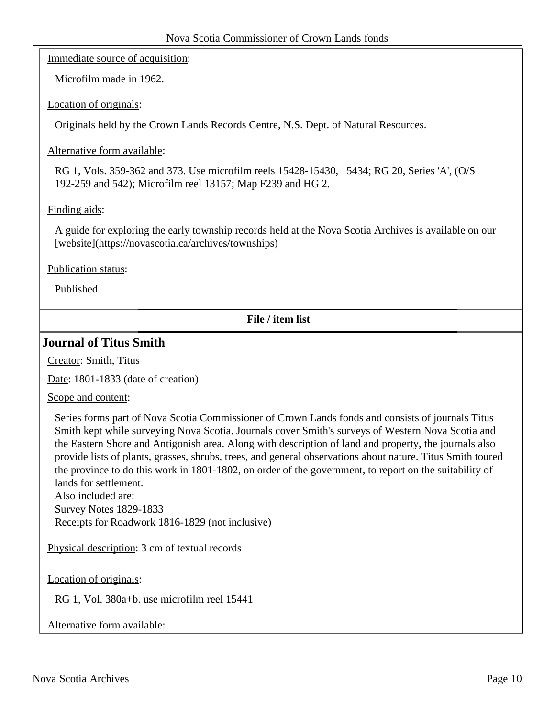Immediate source of acquisition:

Microfilm made in 1962.

Location of originals:

Originals held by the Crown Lands Records Centre, N.S. Dept. of Natural Resources.

#### Alternative form available:

RG 1, Vols. 359-362 and 373. Use microfilm reels 15428-15430, 15434; RG 20, Series 'A', (O/S 192-259 and 542); Microfilm reel 13157; Map F239 and HG 2.

#### Finding aids:

A guide for exploring the early township records held at the Nova Scotia Archives is available on our [website](https://novascotia.ca/archives/townships)

Publication status:

Published

**File / item list**

#### <span id="page-9-0"></span>**Journal of Titus Smith**

Creator: Smith, Titus

Date: 1801-1833 (date of creation)

Scope and content:

Series forms part of Nova Scotia Commissioner of Crown Lands fonds and consists of journals Titus Smith kept while surveying Nova Scotia. Journals cover Smith's surveys of Western Nova Scotia and the Eastern Shore and Antigonish area. Along with description of land and property, the journals also provide lists of plants, grasses, shrubs, trees, and general observations about nature. Titus Smith toured the province to do this work in 1801-1802, on order of the government, to report on the suitability of lands for settlement.

Also included are: Survey Notes 1829-1833 Receipts for Roadwork 1816-1829 (not inclusive)

Physical description: 3 cm of textual records

Location of originals:

RG 1, Vol. 380a+b. use microfilm reel 15441

Alternative form available: